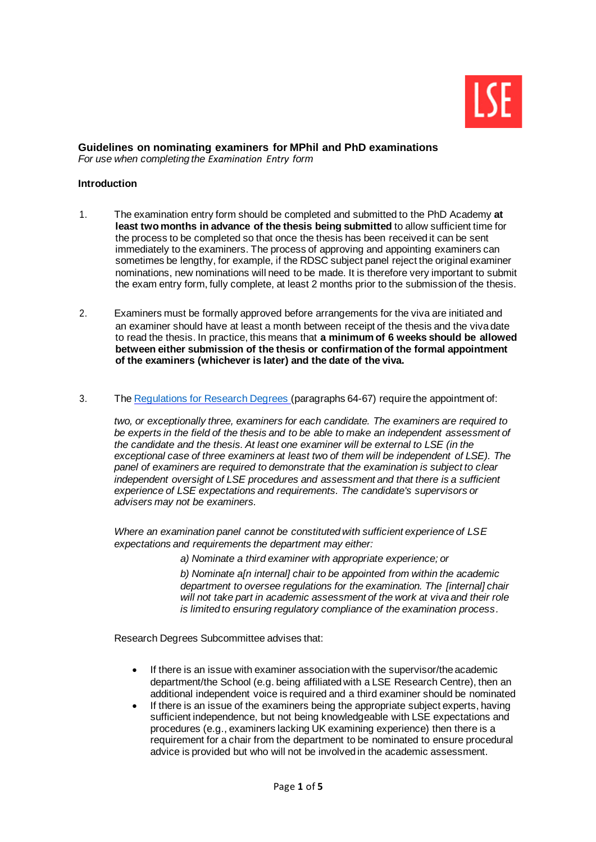

#### **Guidelines on nominating examiners for MPhil and PhD examinations** *For use when completing the [Examination Entry](https://info.lse.ac.uk/current-students/phd-academy/assets/documents/examEntry-1.docx) form*

**Introduction**

- 1. The examination entry form should be completed and submitted to the PhD Academy **at least two months in advance of the thesis being submitted** to allow sufficient time for the process to be completed so that once the thesis has been received it can be sent immediately to the examiners. The process of approving and appointing examiners can sometimes be lengthy, for example, if the RDSC subject panel reject the original examiner nominations, new nominations will need to be made. It is therefore very important to submit the exam entry form, fully complete, at least 2 months prior to the submission of the thesis.
- 2. Examiners must be formally approved before arrangements for the viva are initiated and an examiner should have at least a month between receipt of the thesis and the viva date to read the thesis. In practice, this means that **a minimum of 6 weeks should be allowed between either submission of the thesis or confirmation of the formal appointment of the examiners (whichever is later) and the date of the viva.**
- 3. The [Regulations for Research Degrees](https://info.lse.ac.uk/Staff/Divisions/Academic-Registrars-Division/Teaching-Quality-Assurance-and-Review-Office/Assets/Documents/Calendar/RegulationsForResearchDegrees.pdf) (paragraphs 64-67) require the appointment of:

*two, or exceptionally three, examiners for each candidate. The examiners are required to be experts in the field of the thesis and to be able to make an independent assessment of the candidate and the thesis. At least one examiner will be external to LSE (in the exceptional case of three examiners at least two of them will be independent of LSE). The panel of examiners are required to demonstrate that the examination is subject to clear independent oversight of LSE procedures and assessment and that there is a sufficient experience of LSE expectations and requirements. The candidate's supervisors or advisers may not be examiners.*

*Where an examination panel cannot be constituted with sufficient experience of LSE expectations and requirements the department may either:*

*a) Nominate a third examiner with appropriate experience; or*

*b) Nominate a[n internal] chair to be appointed from within the academic department to oversee regulations for the examination. The [internal] chair will not take part in academic assessment of the work at viva and their role is limited to ensuring regulatory compliance of the examination process.*

Research Degrees Subcommittee advises that:

- If there is an issue with examiner association with the supervisor/the academic department/the School (e.g. being affiliated with a LSE Research Centre), then an additional independent voice is required and a third examiner should be nominated
- If there is an issue of the examiners being the appropriate subject experts, having sufficient independence, but not being knowledgeable with LSE expectations and procedures (e.g., examiners lacking UK examining experience) then there is a requirement for a chair from the department to be nominated to ensure procedural advice is provided but who will not be involved in the academic assessment.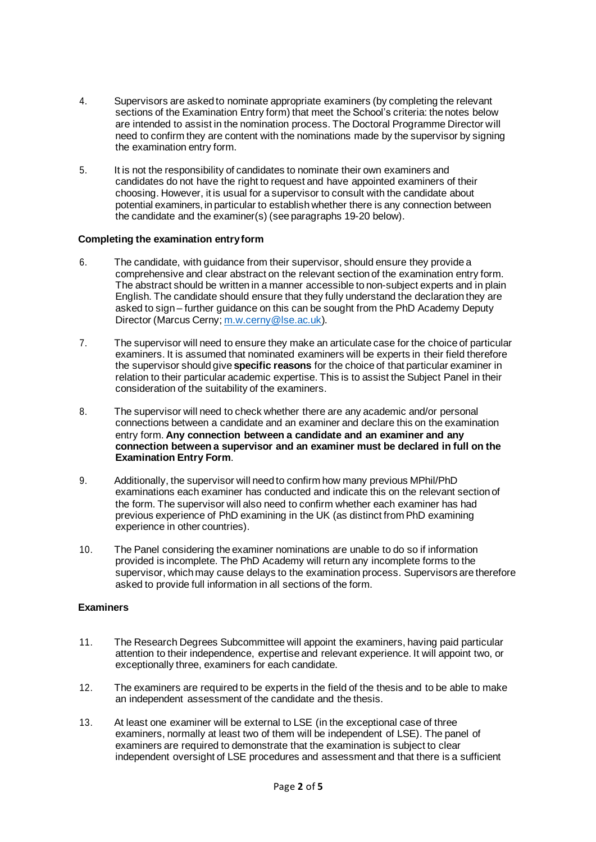- 4. Supervisors are asked to nominate appropriate examiners (by completing the relevant sections of the [Examination Entry form\)](https://info.lse.ac.uk/current-students/phd-academy/assets/documents/examEntry-1.docx) that meet the School's criteria: the notes below are intended to assist in the nomination process. The Doctoral Programme Director will need to confirm they are content with the nominations made by the supervisor by signing the examination entry form.
- 5. It is not the responsibility of candidates to nominate their own examiners and candidates do not have the right to request and have appointed examiners of their choosing. However, it is usual for a supervisor to consult with the candidate about potential examiners, in particular to establish whether there is any connection between the candidate and the examiner(s) (see paragraphs 19-20 below).

## **Completing the examination entryform**

- 6. The candidate, with guidance from their supervisor, should ensure they provide a comprehensive and clear abstract on the relevant section of the examination entry form. The abstract should be written in a manner accessible to non-subject experts and in plain English. The candidate should ensure that they fully understand the declaration they are asked to sign – further guidance on this can be sought from the PhD Academy Deputy Director (Marcus Cerny; [m.w.cerny@lse.ac.uk](mailto:m.w.cerny@lse.ac.uk)).
- 7. The supervisor will need to ensure they make an articulate case for the choice of particular examiners. It is assumed that nominated examiners will be experts in their field therefore the supervisor should give **specific reasons** for the choice of that particular examiner in relation to their particular academic expertise. This is to assist the Subject Panel in their consideration of the suitability of the examiners.
- 8. The supervisor will need to check whether there are any academic and/or personal connections between a candidate and an examiner and declare this on the examination entry form. **Any connection between a candidate and an examiner and any connection between a supervisor and an examiner must be declared in full on the Examination Entry Form**.
- 9. Additionally, the supervisor will need to confirm how many previous MPhil/PhD examinations each examiner has conducted and indicate this on the relevant section of the form. The supervisor will also need to confirm whether each examiner has had previous experience of PhD examining in the UK (as distinct from PhD examining experience in other countries).
- 10. The Panel considering the examiner nominations are unable to do so if information provided is incomplete. The PhD Academy will return any incomplete forms to the supervisor, which may cause delays to the examination process. Supervisors are therefore asked to provide full information in all sections of the form.

# **Examiners**

- 11. The Research Degrees Subcommittee will appoint the examiners, having paid particular attention to their independence, expertise and relevant experience. It will appoint two, or exceptionally three, examiners for each candidate.
- 12. The examiners are required to be experts in the field of the thesis and to be able to make an independent assessment of the candidate and the thesis.
- 13. At least one examiner will be external to LSE (in the exceptional case of three examiners, normally at least two of them will be independent of LSE). The panel of examiners are required to demonstrate that the examination is subject to clear independent oversight of LSE procedures and assessment and that there is a sufficient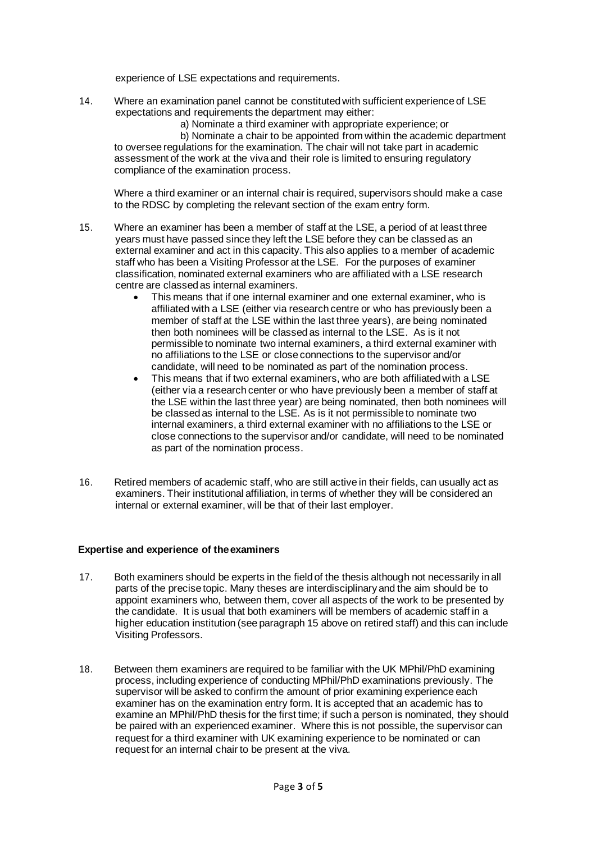experience of LSE expectations and requirements.

- 14. Where an examination panel cannot be constituted with sufficient experience of LSE expectations and requirements the department may either:
	- a) Nominate a third examiner with appropriate experience; or

b) Nominate a chair to be appointed from within the academic department to oversee regulations for the examination. The chair will not take part in academic assessment of the work at the viva and their role is limited to ensuring regulatory compliance of the examination process.

Where a third examiner or an internal chair is required, supervisors should make a case to the RDSC by completing the relevant section of the exam entry form.

- 15. Where an examiner has been a member of staff at the LSE, a period of at least three years must have passed since they left the LSE before they can be classed as an external examiner and act in this capacity. This also applies to a member of academic staff who has been a Visiting Professor at the LSE. For the purposes of examiner classification, nominated external examiners who are affiliated with a LSE research centre are classed as internal examiners.
	- This means that if one internal examiner and one external examiner, who is affiliated with a LSE (either via research centre or who has previously been a member of staff at the LSE within the last three years), are being nominated then both nominees will be classed as internal to the LSE. As is it not permissible to nominate two internal examiners, a third external examiner with no affiliations to the LSE or close connections to the supervisor and/or candidate, will need to be nominated as part of the nomination process.
	- This means that if two external examiners, who are both affiliated with a LSE (either via a research center or who have previously been a member of staff at the LSE within the last three year) are being nominated, then both nominees will be classed as internal to the LSE. As is it not permissible to nominate two internal examiners, a third external examiner with no affiliations to the LSE or close connections to the supervisor and/or candidate, will need to be nominated as part of the nomination process.
- 16. Retired members of academic staff, who are still active in their fields, can usually act as examiners. Their institutional affiliation, in terms of whether they will be considered an internal or external examiner, will be that of their last employer.

## **Expertise and experience of theexaminers**

- 17. Both examiners should be experts in the field of the thesis although not necessarily in all parts of the precise topic. Many theses are interdisciplinary and the aim should be to appoint examiners who, between them, cover all aspects of the work to be presented by the candidate. It is usual that both examiners will be members of academic staff in a higher education institution (see paragraph 15 above on retired staff) and this can include Visiting Professors.
- 18. Between them examiners are required to be familiar with the UK MPhil/PhD examining process, including experience of conducting MPhil/PhD examinations previously. The supervisor will be asked to confirm the amount of prior examining experience each examiner has on the examination entry form. It is accepted that an academic has to examine an MPhil/PhD thesis for the first time; if such a person is nominated, they should be paired with an experienced examiner. Where this is not possible, the supervisor can request for a third examiner with UK examining experience to be nominated or can request for an internal chair to be present at the viva.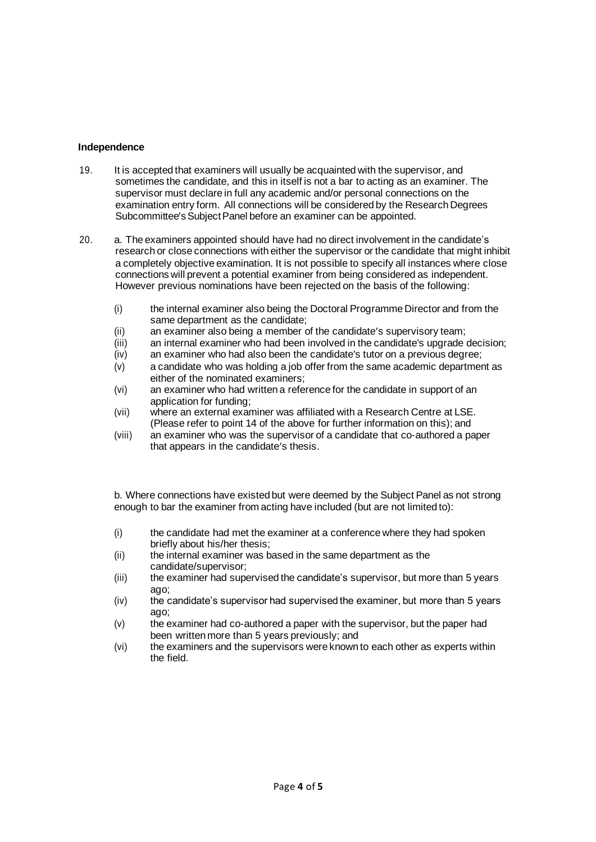#### **Independence**

- 19. It is accepted that examiners will usually be acquainted with the supervisor, and sometimes the candidate, and this in itself is not a bar to acting as an examiner. The supervisor must declare in full any academic and/or personal connections on the examination entry form. All connections will be considered by the Research Degrees Subcommittee's Subject Panel before an examiner can be appointed.
- 20. a. The examiners appointed should have had no direct involvement in the candidate's research or close connections with either the supervisor or the candidate that might inhibit a completely objective examination. It is not possible to specify all instances where close connections will prevent a potential examiner from being considered as independent. However previous nominations have been rejected on the basis of the following:
	- (i) the internal examiner also being the Doctoral Programme Director and from the same department as the candidate;
	- (ii) an examiner also being a member of the candidate's supervisory team;
	- (iii) an internal examiner who had been involved in the candidate's upgrade decision;
	- (iv) an examiner who had also been the candidate's tutor on a previous degree;
	- (v) a candidate who was holding a job offer from the same academic department as either of the nominated examiners;
	- (vi) an examiner who had written a reference for the candidate in support of an application for funding;
	- (vii) where an external examiner was affiliated with a Research Centre at LSE. (Please refer to point 14 of the above for further information on this); and
	- (viii) an examiner who was the supervisor of a candidate that co-authored a paper that appears in the candidate's thesis.

b. Where connections have existed but were deemed by the Subject Panel as not strong enough to bar the examiner from acting have included (but are not limited to):

- (i) the candidate had met the examiner at a conference where they had spoken briefly about his/her thesis;
- (ii) the internal examiner was based in the same department as the candidate/supervisor;
- (iii) the examiner had supervised the candidate's supervisor, but more than 5 years ago;
- (iv) the candidate's supervisor had supervised the examiner, but more than 5 years ago;
- (v) the examiner had co-authored a paper with the supervisor, but the paper had been written more than 5 years previously; and
- (vi) the examiners and the supervisors were known to each other as experts within the field.